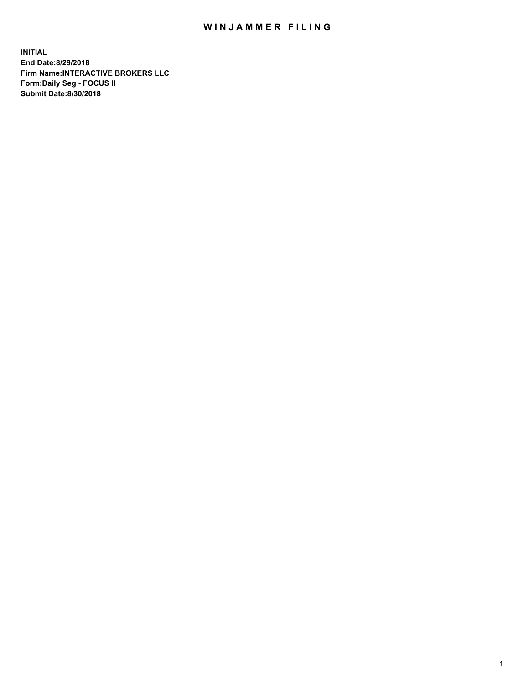## WIN JAMMER FILING

**INITIAL End Date:8/29/2018 Firm Name:INTERACTIVE BROKERS LLC Form:Daily Seg - FOCUS II Submit Date:8/30/2018**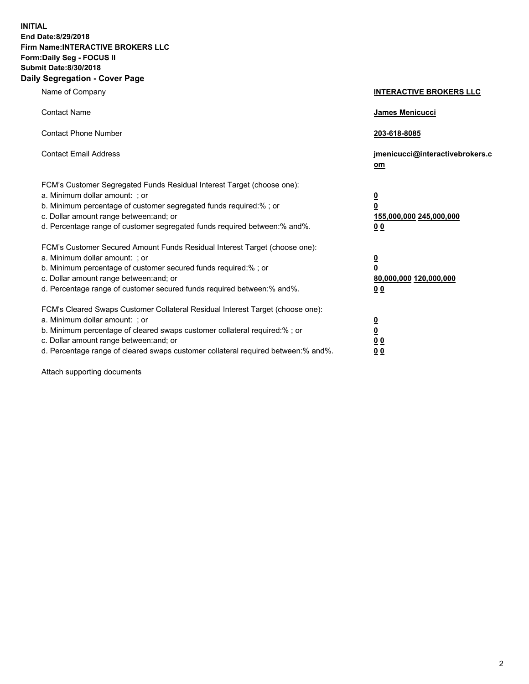**INITIAL End Date:8/29/2018 Firm Name:INTERACTIVE BROKERS LLC Form:Daily Seg - FOCUS II Submit Date:8/30/2018 Daily Segregation - Cover Page**

| Name of Company                                                                                                                                                                                                                                                                                                                | <b>INTERACTIVE BROKERS LLC</b>                                                                  |
|--------------------------------------------------------------------------------------------------------------------------------------------------------------------------------------------------------------------------------------------------------------------------------------------------------------------------------|-------------------------------------------------------------------------------------------------|
| <b>Contact Name</b>                                                                                                                                                                                                                                                                                                            | <b>James Menicucci</b>                                                                          |
| <b>Contact Phone Number</b>                                                                                                                                                                                                                                                                                                    | 203-618-8085                                                                                    |
| <b>Contact Email Address</b>                                                                                                                                                                                                                                                                                                   | jmenicucci@interactivebrokers.c<br>$om$                                                         |
| FCM's Customer Segregated Funds Residual Interest Target (choose one):<br>a. Minimum dollar amount: ; or<br>b. Minimum percentage of customer segregated funds required:% ; or<br>c. Dollar amount range between: and; or<br>d. Percentage range of customer segregated funds required between:% and%.                         | $\overline{\mathbf{0}}$<br>$\overline{\mathbf{0}}$<br>155,000,000 245,000,000<br>0 <sub>0</sub> |
| FCM's Customer Secured Amount Funds Residual Interest Target (choose one):<br>a. Minimum dollar amount: ; or<br>b. Minimum percentage of customer secured funds required:%; or<br>c. Dollar amount range between: and; or<br>d. Percentage range of customer secured funds required between:% and%.                            | $\overline{\mathbf{0}}$<br>$\overline{\mathbf{0}}$<br>80,000,000 120,000,000<br>0 <sub>0</sub>  |
| FCM's Cleared Swaps Customer Collateral Residual Interest Target (choose one):<br>a. Minimum dollar amount: ; or<br>b. Minimum percentage of cleared swaps customer collateral required:% ; or<br>c. Dollar amount range between: and; or<br>d. Percentage range of cleared swaps customer collateral required between:% and%. | $\overline{\mathbf{0}}$<br>$\underline{\mathbf{0}}$<br>0 <sub>0</sub><br>00                     |

Attach supporting documents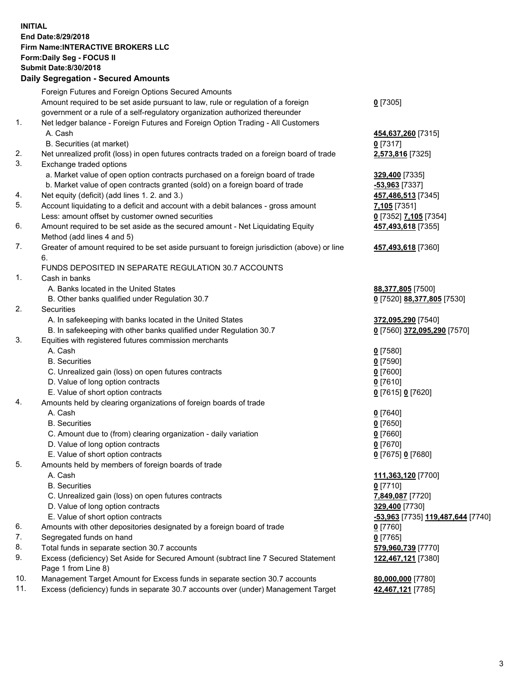## **INITIAL End Date:8/29/2018 Firm Name:INTERACTIVE BROKERS LLC Form:Daily Seg - FOCUS II Submit Date:8/30/2018 Daily Segregation - Secured Amounts**

|     | Dany Ocgregation - oceaned Anioante                                                               |                                                |
|-----|---------------------------------------------------------------------------------------------------|------------------------------------------------|
|     | Foreign Futures and Foreign Options Secured Amounts                                               |                                                |
|     | Amount required to be set aside pursuant to law, rule or regulation of a foreign                  | $0$ [7305]                                     |
|     | government or a rule of a self-regulatory organization authorized thereunder                      |                                                |
| 1.  | Net ledger balance - Foreign Futures and Foreign Option Trading - All Customers                   |                                                |
|     | A. Cash                                                                                           | 454,637,260 [7315]                             |
|     | B. Securities (at market)                                                                         | $0$ [7317]                                     |
| 2.  | Net unrealized profit (loss) in open futures contracts traded on a foreign board of trade         | 2,573,816 [7325]                               |
| 3.  | Exchange traded options                                                                           |                                                |
|     | a. Market value of open option contracts purchased on a foreign board of trade                    | 329,400 [7335]                                 |
|     | b. Market value of open contracts granted (sold) on a foreign board of trade                      | $-53,963$ [7337]                               |
| 4.  | Net equity (deficit) (add lines 1.2. and 3.)                                                      | 457,486,513 [7345]                             |
| 5.  | Account liquidating to a deficit and account with a debit balances - gross amount                 | 7,105 [7351]                                   |
|     | Less: amount offset by customer owned securities                                                  | 0 [7352] 7,105 [7354]                          |
| 6.  | Amount required to be set aside as the secured amount - Net Liquidating Equity                    | 457,493,618 [7355]                             |
|     | Method (add lines 4 and 5)                                                                        |                                                |
| 7.  | Greater of amount required to be set aside pursuant to foreign jurisdiction (above) or line<br>6. | 457,493,618 [7360]                             |
|     | FUNDS DEPOSITED IN SEPARATE REGULATION 30.7 ACCOUNTS                                              |                                                |
| 1.  | Cash in banks                                                                                     |                                                |
|     | A. Banks located in the United States                                                             | 88,377,805 [7500]                              |
|     | B. Other banks qualified under Regulation 30.7                                                    | 0 [7520] 88,377,805 [7530]                     |
| 2.  | Securities                                                                                        |                                                |
|     | A. In safekeeping with banks located in the United States                                         | 372,095,290 [7540]                             |
|     | B. In safekeeping with other banks qualified under Regulation 30.7                                | 0 [7560] 372,095,290 [7570]                    |
| 3.  | Equities with registered futures commission merchants                                             |                                                |
|     | A. Cash                                                                                           | $0$ [7580]                                     |
|     | <b>B.</b> Securities                                                                              | $0$ [7590]                                     |
|     | C. Unrealized gain (loss) on open futures contracts                                               | $0$ [7600]                                     |
|     | D. Value of long option contracts                                                                 | $0$ [7610]                                     |
|     | E. Value of short option contracts                                                                | 0 [7615] 0 [7620]                              |
| 4.  | Amounts held by clearing organizations of foreign boards of trade                                 |                                                |
|     | A. Cash                                                                                           | $0$ [7640]                                     |
|     | <b>B.</b> Securities                                                                              | $0$ [7650]                                     |
|     | C. Amount due to (from) clearing organization - daily variation                                   | $0$ [7660]                                     |
|     | D. Value of long option contracts                                                                 | $0$ [7670]                                     |
|     | E. Value of short option contracts                                                                | 0 [7675] 0 [7680]                              |
| 5.  | Amounts held by members of foreign boards of trade                                                |                                                |
|     | A. Cash                                                                                           | 111,363,120 [7700]                             |
|     | <b>B.</b> Securities                                                                              | $0$ [7710]                                     |
|     | C. Unrealized gain (loss) on open futures contracts                                               | 7,849,087 [7720]                               |
|     | D. Value of long option contracts                                                                 | 329,400 [7730]                                 |
|     | E. Value of short option contracts                                                                | <mark>-53,963</mark> [7735] 119,487,644 [7740] |
| 6.  | Amounts with other depositories designated by a foreign board of trade                            | $0$ [7760]                                     |
| 7.  | Segregated funds on hand                                                                          | $0$ [7765]                                     |
| 8.  | Total funds in separate section 30.7 accounts                                                     | 579,960,739 [7770]                             |
| 9.  | Excess (deficiency) Set Aside for Secured Amount (subtract line 7 Secured Statement               | 122,467,121 [7380]                             |
|     | Page 1 from Line 8)                                                                               |                                                |
| 10. | Management Target Amount for Excess funds in separate section 30.7 accounts                       | 80,000,000 [7780]                              |
| 11. | Excess (deficiency) funds in separate 30.7 accounts over (under) Management Target                | 42,467,121 [7785]                              |
|     |                                                                                                   |                                                |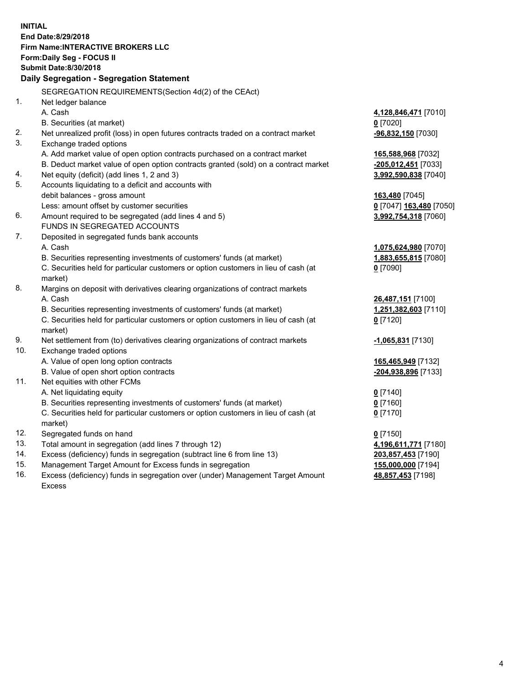**INITIAL End Date:8/29/2018 Firm Name:INTERACTIVE BROKERS LLC Form:Daily Seg - FOCUS II Submit Date:8/30/2018 Daily Segregation - Segregation Statement** SEGREGATION REQUIREMENTS(Section 4d(2) of the CEAct) 1. Net ledger balance A. Cash **4,128,846,471** [7010] B. Securities (at market) **0** [7020] 2. Net unrealized profit (loss) in open futures contracts traded on a contract market **-96,832,150** [7030] 3. Exchange traded options A. Add market value of open option contracts purchased on a contract market **165,588,968** [7032] B. Deduct market value of open option contracts granted (sold) on a contract market **-205,012,451** [7033] 4. Net equity (deficit) (add lines 1, 2 and 3) **3,992,590,838** [7040] 5. Accounts liquidating to a deficit and accounts with debit balances - gross amount **163,480** [7045] Less: amount offset by customer securities **0** [7047] **163,480** [7050] 6. Amount required to be segregated (add lines 4 and 5) **3,992,754,318** [7060] FUNDS IN SEGREGATED ACCOUNTS 7. Deposited in segregated funds bank accounts A. Cash **1,075,624,980** [7070] B. Securities representing investments of customers' funds (at market) **1,883,655,815** [7080] C. Securities held for particular customers or option customers in lieu of cash (at market) **0** [7090] 8. Margins on deposit with derivatives clearing organizations of contract markets A. Cash **26,487,151** [7100] B. Securities representing investments of customers' funds (at market) **1,251,382,603** [7110] C. Securities held for particular customers or option customers in lieu of cash (at market) **0** [7120] 9. Net settlement from (to) derivatives clearing organizations of contract markets **-1,065,831** [7130] 10. Exchange traded options A. Value of open long option contracts **165,465,949** [7132] B. Value of open short option contracts **-204,938,896** [7133] 11. Net equities with other FCMs A. Net liquidating equity **0** [7140] B. Securities representing investments of customers' funds (at market) **0** [7160] C. Securities held for particular customers or option customers in lieu of cash (at market) **0** [7170] 12. Segregated funds on hand **0** [7150] 13. Total amount in segregation (add lines 7 through 12) **4,196,611,771** [7180] 14. Excess (deficiency) funds in segregation (subtract line 6 from line 13) **203,857,453** [7190] 15. Management Target Amount for Excess funds in segregation **155,000,000** [7194] **48,857,453** [7198]

16. Excess (deficiency) funds in segregation over (under) Management Target Amount Excess